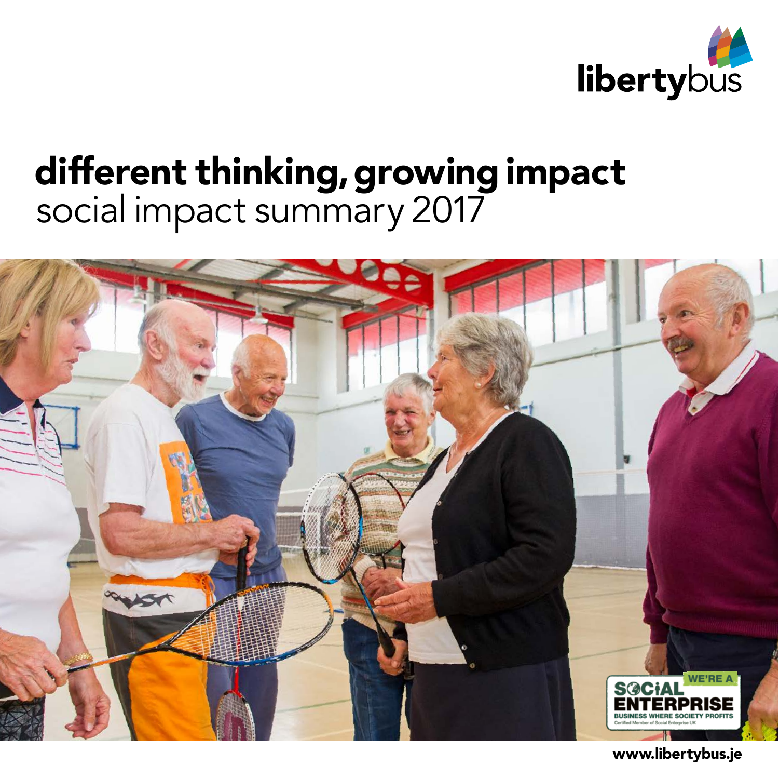

## different thinking, growing impact social impact summary 2017



www.libertybus.je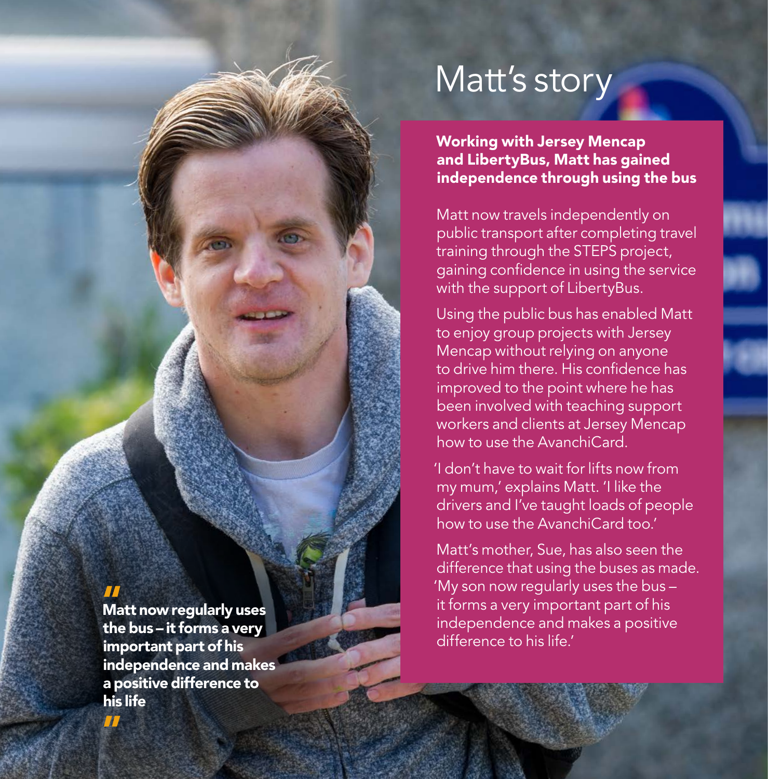### Matt's story

Working with Jersey Mencap and LibertyBus, Matt has gained independence through using the bus

Matt now travels independently on public transport after completing travel training through the STEPS project, gaining confidence in using the service with the support of LibertyBus.

Using the public bus has enabled Matt to enjoy group projects with Jersey Mencap without relying on anyone to drive him there. His confidence has improved to the point where he has been involved with teaching support workers and clients at Jersey Mencap how to use the AvanchiCard.

'I don't have to wait for lifts now from my mum,' explains Matt. 'I like the drivers and I've taught loads of people how to use the AvanchiCard too.'

Matt's mother, Sue, has also seen the difference that using the buses as made. 'My son now regularly uses the bus – it forms a very important part of his independence and makes a positive difference to his life.'

### $\overline{\mathbf{H}}$

Matt now regularly uses the bus – it forms a very important part of his independence and makes a positive difference to his life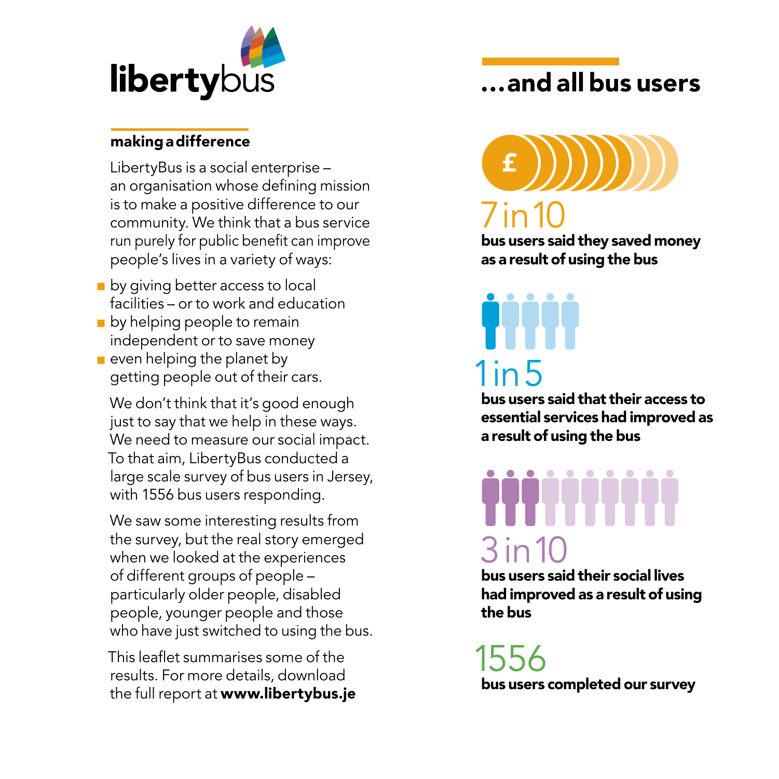

### makingadifference

LibertyBus is a social enterprise – an organisation whose defining mission is to make a positive difference to our community. We think that a bus service run purely for public benefit can improve people's lives in a variety of ways:

- $\blacksquare$  by giving better access to local facilities – or to work and education
- $\blacksquare$  by helping people to remain independent or to save money
- $\blacksquare$  even helping the planet by getting people out of their cars.

We don't think that it's good enough just to say that we help in these ways. We need to measure our social impact. To that aim, LibertyBus conducted a large scale survey of bus users in Jersey, with 1556 bus users responding.

We saw some interesting results from the survey, but the real story emerged when we looked at the experiences of different groups of people – particularly older people, disabled people, younger people and those who have just switched to using the bus.

This leaflet summarises some of the results. For more details, download the full report at www.libertybus.je

### …and all bus users



bus users said they saved money as a result of using the bus

# 1in 5

bus users said that their access to essential services had improved as a result of using the bus

# 3in10

bus users said their social lives had improved as a result of using the bus

155 bus users completed our survey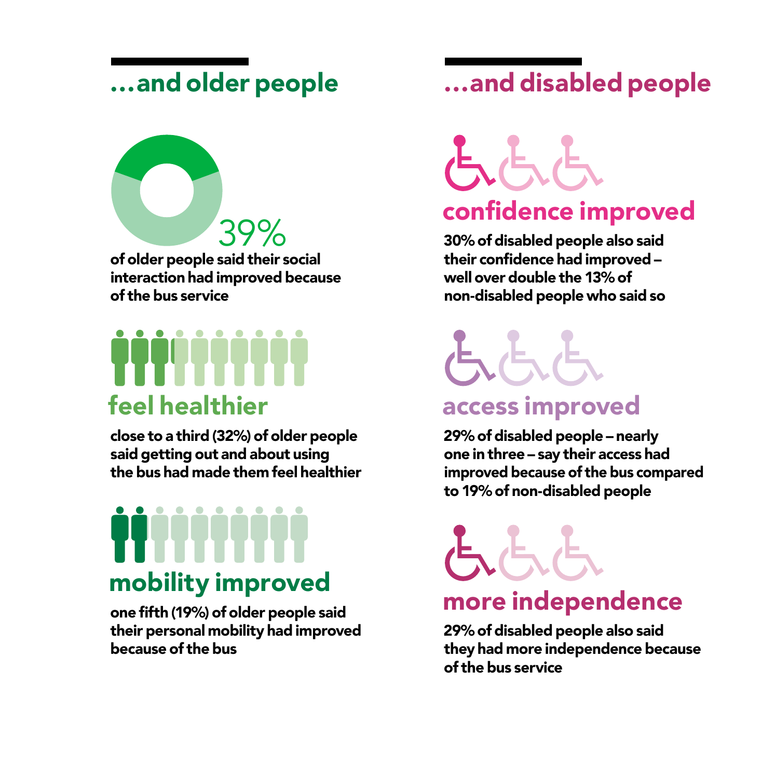### …and older people

of older people said their social interaction had improved because of the bus service 39%

# feel healthier

close to a third (32%) of older people said getting out and about using the bus had made them feel healthier

# mobility improved

one fifth (19%) of older people said their personal mobility had improved because of the bus

### …and disabled people

### confidence   improved

30% of disabled people also said their confidence had improved – well over double the 13% of non-disabled people who said so

## access improved

29% of disabled people – nearly one in three – say their access had improved because of the bus compared to 19% of non-disabled people

### more independence

29% of disabled people also said they had more independence because of the bus service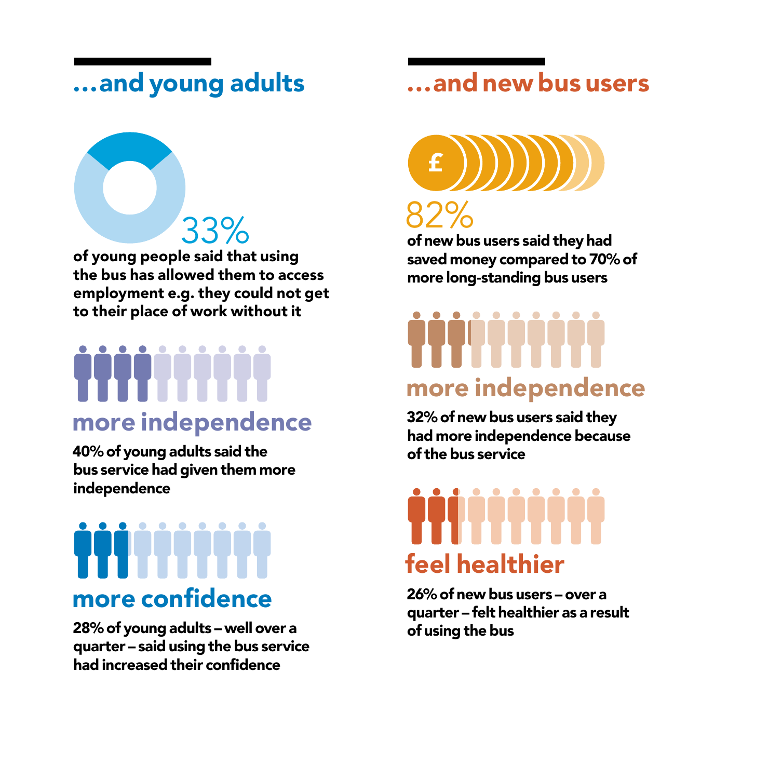### …and young adults …and new bus users



# more independence

40% of young adults said the bus service had given them more independence

## more confidence

28% of young adults – well over a quarter – said using the bus service had increased their confidence



of new bus users said they had saved money compared to 70% of more long-standing bus users

# more independence

32% of new bus users said they had more independence because of the bus service

# feel healthier

26% of new bus users – over a quarter – felt healthier as a result of using the bus